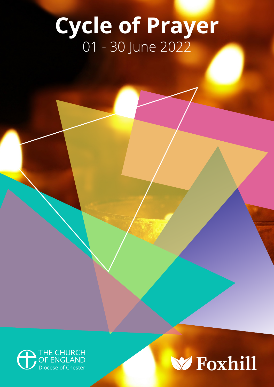# **Cycle of Prayer** 01 - 30 June 2022



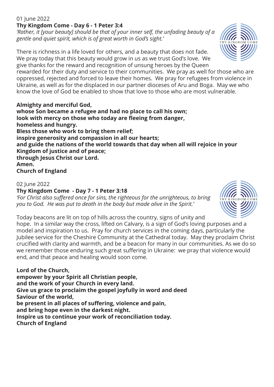# 01 **June 2022 Thy Kingdom Come - Day 6 - 1 Peter 3:4**

*'Rather, it [your beauty] should be that of your inner self, the unfading beauty of a gentle and quiet spirit, which is of great worth in God's sight.'*

There is richness in a life loved for others, and a beauty that does not fade. We pray today that this beauty would grow in us as we trust God's love. We give thanks for the reward and recognition of unsung heroes by the Queen

rewarded for their duty and service to their communities. We pray as well for those who are oppressed, rejected and forced to leave their homes. We pray for refugees from violence in Ukraine, as well as for the displaced in our partner dioceses of Aru and Boga. May we who know the love of God be enabled to show that love to those who are most vulnerable.

**Almighty and merciful God, whose Son became a refugee and had no place to call his own; look with mercy on those who today are fleeing from danger, homeless and hungry. Bless those who work to bring them relief; inspire generosity and compassion in all our hearts; and guide the nations of the world towards that day when all will rejoice in your Kingdom of justice and of peace; through Jesus Christ our Lord. Amen. Church of England**

# 02 June 2022

# **Thy Kingdom Come - Day 7 - 1 Peter 3:18**

*'For Christ also suffered once for sins, the righteous for the unrighteous, to bring you to God. He was put to death in the body but made alive in the Spirit.'*



hope. In a similar way the cross, lifted on Calvary, is a sign of God's loving purposes and a model and inspiration to us. Pray for church services in the coming days, particularly the Jubilee service for the Cheshire Community at the Cathedral today. May they proclaim Christ crucified with clarity and warmth, and be a beacon for many in our communities. As we do so we remember those enduring such great suffering in Ukraine: we pray that violence would end, and that peace and healing would soon come.

**Lord of the Church, empower by your Spirit all Christian people, and the work of your Church in every land. Give us grace to proclaim the gospel joyfully in word and deed Saviour of the world, be present in all places of suffering, violence and pain, and bring hope even in the darkest night. Inspire us to continue your work of reconciliation today. Church of England**



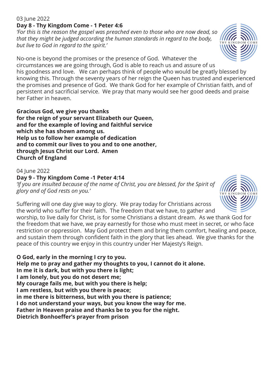#### 03 June 2022 **Day 8 - Thy Kingdom Come - 1 Peter 4:6**

*'For this is the reason the gospel was preached even to those who are now dead, so that they might be judged according the human standards in regard to the body, but live to God in regard to the spirit.'*

No-one is beyond the promises or the presence of God. Whatever the circumstances we are going through, God is able to reach us and assure of us his goodness and love. We can perhaps think of people who would be greatly blessed by knowing this. Through the seventy years of her reign the Queen has trusted and experienced the promises and presence of God. We thank God for her example of Christian faith, and of persistent and sacrificial service. We pray that many would see her good deeds and praise her Father in heaven.

**Gracious God, we give you thanks for the reign of your servant Elizabeth our Queen, and for the example of loving and faithful service which she has shown among us. Help us to follow her example of dedication and to commit our lives to you and to one another, through Jesus Christ our Lord. Amen Church of England**

04 June 2022 **Day 9 - Thy Kingdom Come -1 Peter 4:14** *'If you are insulted because of the name of Christ, you are blessed, for the Spirit of glory and of God rests on you.'*

Suffering will one day give way to glory. We pray today for Christians across the world who suffer for their faith. The freedom that we have, to gather and

worship, to live daily for Christ, is for some Christians a distant dream. As we thank God for the freedom that we have, we pray earnestly for those who must meet in secret, or who face restriction or oppression. May God protect them and bring them comfort, healing and peace, and sustain them through confident faith in the glory that lies ahead. We give thanks for the peace of this country we enjoy in this country under Her Majesty's Reign.

**O God, early in the morning I cry to you. Help me to pray and gather my thoughts to you, I cannot do it alone. In me it is dark, but with you there is light; I am lonely, but you do not desert me; My courage fails me, but with you there is help; I am restless, but with you there is peace; in me there is bitterness, but with you there is patience; I do not understand your ways, but you know the way for me. Father in Heaven praise and thanks be to you for the night. Dietrich Bonhoeffer's prayer from prison**



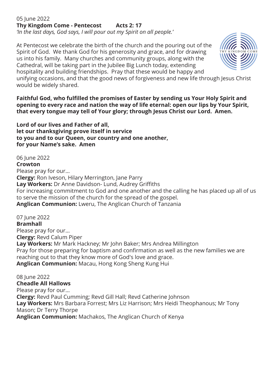# 05 June 2022 **Thy Kingdom Come - Pentecost Acts 2: 17**

*'In the last days, God says, I will pour out my Spirit on all people.'*

At Pentecost we celebrate the birth of the church and the pouring out of the Spirit of God. We thank God for his generosity and grace, and for drawing us into his family. Many churches and community groups, along with the Cathedral, will be taking part in the Jubilee Big Lunch today, extending hospitality and building friendships. Pray that these would be happy and



unifying occasions, and that the good news of forgiveness and new life through Jesus Christ would be widely shared.

**Faithful God, who fulfilled the promises of Easter by sending us Your Holy Spirit and opening to every race and nation the way of life eternal: open our lips by Your Spirit, that every tongue may tell of Your glory; through Jesus Christ our Lord. Amen.** 

**Lord of our lives and Father of all, let our thanksgiving prove itself in service to you and to our Queen, our country and one another, for your Name's sake. Amen**

# 06 June 2022

#### **Crowton**

Please pray for our... **Clergy:** Ron Iveson, Hilary Merrington, Jane Parry **Lay Workers:** Dr Anne Davidson- Lund, Audrey Griffiths For increasing commitment to God and one another and the calling he has placed up all of us to serve the mission of the church for the spread of the gospel. **Anglican Communion:** Lweru, The Anglican Church of Tanzania

07 June 2022

#### **Bramhall**

Please pray for our... **Clergy:** Revd Calum Piper **Lay Workers:** Mr Mark Hackney; Mr John Baker; Mrs Andrea Millington Pray for those preparing for baptism and confirmation as well as the new families we are reaching out to that they know more of God's love and grace. **Anglican Communion:** Macau, Hong Kong Sheng Kung Hui

08 June 2022 **Cheadle All Hallows**

Please pray for our... **Clergy:** Revd Paul Cumming; Revd Gill Hall; Revd Catherine Johnson **Lay Workers:** Mrs Barbara Forrest; Mrs Liz Harrison; Mrs Heidi Theophanous; Mr Tony Mason; Dr Terry Thorpe **Anglican Communion:** Machakos, The Anglican Church of Kenya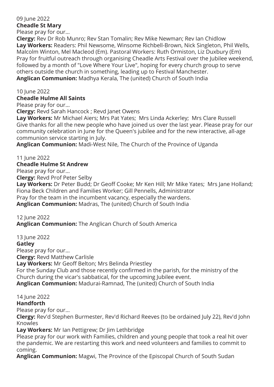# 09 June 2022 **Cheadle St Mary**

Please pray for our...

**Clergy:** Rev Dr Rob Munro; Rev Stan Tomalin; Rev Mike Newman; Rev Ian Chidlow **Lay Workers:** Readers: Phil Newsome, Winsome Richbell-Brown, Nick Singleton, Phil Wells, Malcolm Winton, Mel Macleod (Em). Pastoral Workers: Ruth Ormiston, Liz Duxbury (Em) Pray for fruitful outreach through organising Cheadle Arts Festival over the Jubilee weekend, followed by a month of "Love Where Your Live", hoping for every church group to serve others outside the church in something, leading up to Festival Manchester. **Anglican Communion:** Madhya Kerala, The (united) Church of South India

10 June 2022

#### **Cheadle Hulme All Saints**

Please pray for our...

**Clergy:** Revd Sarah Hancock ; Revd Janet Owens

**Lay Workers:** Mr Michael Aiers; Mrs Pat Yates; Mrs Linda Ackerley; Mrs Clare Russell Give thanks for all the new people who have joined us over the last year. Please pray for our community celebration in June for the Queen's jubilee and for the new interactive, all-age communion service starting in July.

**Anglican Communion:** Madi-West Nile, The Church of the Province of Uganda

11 June 2022

## **Cheadle Hulme St Andrew**

Please pray for our...

**Clergy:** Revd Prof Peter Selby

**Lay Workers:** Dr Peter Budd; Dr Geoff Cooke; Mr Ken Hill; Mr Mike Yates; Mrs Jane Holland; Fiona Beck Children and Families Worker; Gill Pennells, Administrator

Pray for the team in the incumbent vacancy, especially the wardens.

**Anglican Communion:** Madras, The (united) Church of South India

## 12 June 2022

**Anglican Communion:** The Anglican Church of South America

13 June 2022 **Gatley** Please pray for our... **Clergy:** Revd Matthew Carlisle **Lay Workers:** Mr Geoff Belton; Mrs Belinda Priestley For the Sunday Club and those recently confirmed in the parish, for the ministry of the Church during the vicar's sabbatical, for the upcoming Jubilee event.

**Anglican Communion:** Madurai-Ramnad, The (united) Church of South India

## 14 June 2022

#### **Handforth**

Please pray for our...

**Clergy:** Rev'd Stephen Burmester, Rev'd Richard Reeves (to be ordained July 22), Rev'd John Knowles

**Lay Workers:** Mr Ian Pettigrew; Dr Jim Lethbridge

Please pray for our work with Families, children and young people that took a real hit over the pandemic. We are restarting this work and need volunteers and families to commit to coming.

**Anglican Communion:** Magwi, The Province of the Episcopal Church of South Sudan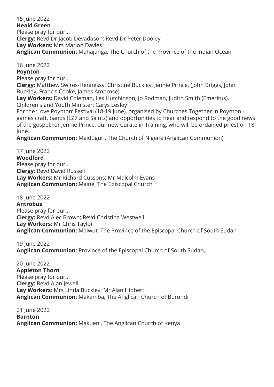15 June 2022 **Heald Green** Please pray for our... **Clergy:** Revd Dr Jacob Devadason; Revd Dr Peter Dooley **Lay Workers:** Mrs Marion Davies **Anglican Communion:** Mahajanga, The Church of the Province of the Indian Ocean

16 June 2022

**Poynton**

Please pray for our...

**Clergy:** Matthew Swires-Hennessy, Christine Buckley, Jennie Prince, (John Briggs, John Buckley, Francis Cooke, James Ambrose)

**Lay Workers:** David Coleman, Les Hutchinson, Jo Rodman, Judith Smith (Emeritus). Children's and Youth Minister: Carys Lesley

For the 'Love Poynton' Festival (18-19 June), organised by Churches Together in Poynton games craft, bands (LZ7 and Saintz) and opportunities to hear and respond to the good news of the gospel.For Jennie Prince, our new Curate in Training, who will be ordained priest on 18 June.

**Anglican Communion:** Maiduguri, The Church of Nigeria (Anglican Communion)

17 June 2022 **Woodford** Please pray for our... **Clergy:** Revd David Russell **Lay Workers:** Mr Richard Cussons; Mr Malcolm Evans **Anglican Communion:** Maine, The Episcopal Church

18 June 2022 **Antrobus** Please pray for our... **Clergy:** Revd Alec Brown; Revd Christina Westwell **Lay Workers:** Mr Chris Taylor **Anglican Communion:** Maiwut, The Province of the Episcopal Church of South Sudan

19 June 2022 **Anglican Communion:** Province of the Episcopal Church of South Sudan,

20 June 2022 **Appleton Thorn** Please pray for our... **Clergy:** Revd Alan Jewell **Lay Workers:** Mrs Linda Buckley; Mr Alan Hibbert **Anglican Communion:** Makamba, The Anglican Church of Burundi

21 June 2022 **Barnton Anglican Communion:** Makueni, The Anglican Church of Kenya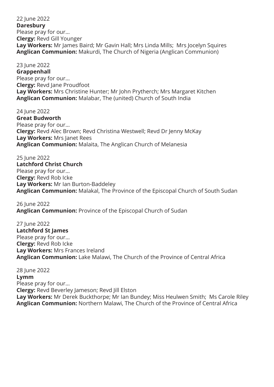22 June 2022 **Daresbury** Please pray for our... **Clergy:** Revd Gill Younger **Lay Workers:** Mr James Baird; Mr Gavin Hall; Mrs Linda Mills; Mrs Jocelyn Squires **Anglican Communion:** Makurdi, The Church of Nigeria (Anglican Communion)

23 June 2022 **Grappenhall** Please pray for our... **Clergy:** Revd Jane Proudfoot **Lay Workers:** Mrs Christine Hunter; Mr John Prytherch; Mrs Margaret Kitchen **Anglican Communion:** Malabar, The (united) Church of South India

24 June 2022 **Great Budworth** Please pray for our... **Clergy:** Revd Alec Brown; Revd Christina Westwell; Revd Dr Jenny McKay **Lay Workers:** Mrs Janet Rees **Anglican Communion:** Malaita, The Anglican Church of Melanesia

25 June 2022 **Latchford Christ Church** Please pray for our... **Clergy:** Revd Rob Icke **Lay Workers:** Mr Ian Burton-Baddeley **Anglican Communion:** Malakal, The Province of the Episcopal Church of South Sudan

26 June 2022 **Anglican Communion:** Province of the Episcopal Church of Sudan

27 June 2022 **Latchford St James** Please pray for our... **Clergy:** Revd Rob Icke **Lay Workers:** Mrs Frances Ireland **Anglican Communion:** Lake Malawi, The Church of the Province of Central Africa

28 June 2022 **Lymm** Please pray for our... **Clergy:** Revd Beverley Jameson; Revd Jill Elston **Lay Workers:** Mr Derek Buckthorpe; Mr Ian Bundey; Miss Heulwen Smith; Ms Carole Riley **Anglican Communion:** Northern Malawi, The Church of the Province of Central Africa